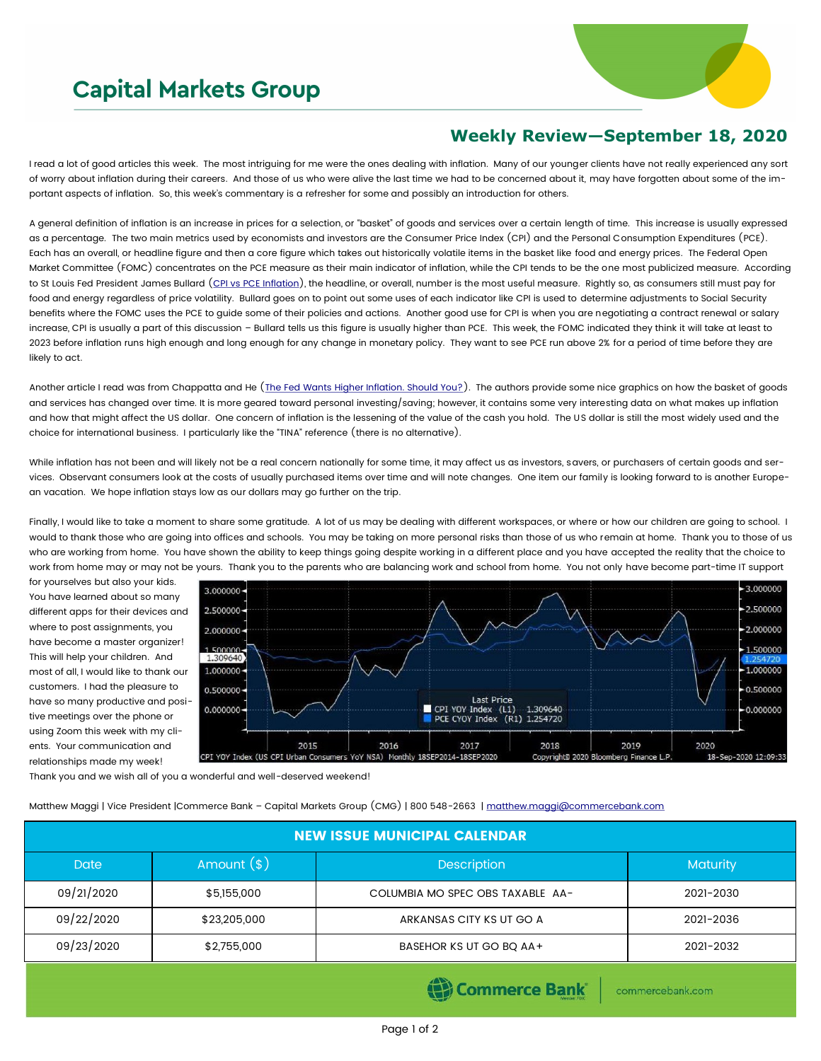## **Capital Markets Group**



## **Weekly Review—September 18, 2020**

I read a lot of good articles this week. The most intriguing for me were the ones dealing with inflation. Many of our younger clients have not really experienced any sort of worry about inflation during their careers. And those of us who were alive the last time we had to be concerned about it, may have forgotten about some of the important aspects of inflation. So, this week's commentary is a refresher for some and possibly an introduction for others.

A general definition of inflation is an increase in prices for a selection, or "basket" of goods and services over a certain length of time. This increase is usually expressed as a percentage. The two main metrics used by economists and investors are the Consumer Price Index (CPI) and the Personal Consumption Expenditures (PCE). Each has an overall, or headline figure and then a core figure which takes out historically volatile items in the basket like food and energy prices. The Federal Open Market Committee (FOMC) concentrates on the PCE measure as their main indicator of inflation, while the CPI tends to be the one most publicized measure. According to St Louis Fed President James Bullard ([CPI vs PCE Inflation\)](https://www.stlouisfed.org/publications/regional-economist/july-2013/cpi-vs-pce-inflation--choosing-a-standard-measure), the headline, or overall, number is the most useful measure. Rightly so, as consumers still must pay for food and energy regardless of price volatility. Bullard goes on to point out some uses of each indicator like CPI is used to determine adjustments to Social Security benefits where the FOMC uses the PCE to guide some of their policies and actions. Another good use for CPI is when you are negotiating a contract renewal or salary increase, CPI is usually a part of this discussion – Bullard tells us this figure is usually higher than PCE. This week, the FOMC indicated they think it will take at least to 2023 before inflation runs high enough and long enough for any change in monetary policy. They want to see PCE run above 2% for a period of time before they are likely to act.

Another article I read was from Chappatta and He ([The Fed Wants Higher Inflation. Should You?\).](https://www.bloomberg.com/graphics/2020-opinion-fed-inflation-economic-data/) The authors provide some nice graphics on how the basket of goods and services has changed over time. It is more geared toward personal investing/saving; however, it contains some very interesting data on what makes up inflation and how that might affect the US dollar. One concern of inflation is the lessening of the value of the cash you hold. The US dollar is still the most widely used and the choice for international business. I particularly like the "TINA" reference (there is no alternative).

While inflation has not been and will likely not be a real concern nationally for some time, it may affect us as investors, savers, or purchasers of certain goods and services. Observant consumers look at the costs of usually purchased items over time and will note changes. One item our family is looking forward to is another European vacation. We hope inflation stays low as our dollars may go further on the trip.

Finally, I would like to take a moment to share some gratitude. A lot of us may be dealing with different workspaces, or where or how our children are going to school. I would to thank those who are going into offices and schools. You may be taking on more personal risks than those of us who remain at home. Thank you to those of us who are working from home. You have shown the ability to keep things going despite working in a different place and you have accepted the reality that the choice to work from home may or may not be yours. Thank you to the parents who are balancing work and school from home. You not only have become part-time IT support

for yourselves but also your kids. You have learned about so many different apps for their devices and where to post assignments, you have become a master organizer! This will help your children. And most of all, I would like to thank our customers. I had the pleasure to have so many productive and positive meetings over the phone or using Zoom this week with my clients. Your communication and relationships made my week!



Thank you and we wish all of you a wonderful and well-deserved weekend!

Matthew Maggi | Vice President |Commerce Bank - Capital Markets Group (CMG) | 800 548-2663 | [matthew.maggi@commercebank.com](mailto:matthew.maggi@commercebank.com)

| <b>NEW ISSUE MUNICIPAL CALENDAR</b> |              |                                  |                 |  |  |
|-------------------------------------|--------------|----------------------------------|-----------------|--|--|
| <b>Date</b>                         | Amount $(*)$ | <b>Description</b>               | <b>Maturity</b> |  |  |
| 09/21/2020                          | \$5,155,000  | COLUMBIA MO SPEC OBS TAXABLE AA- | 2021-2030       |  |  |
| 09/22/2020                          | \$23,205,000 | ARKANSAS CITY KS UT GO A         | 2021-2036       |  |  |
| 09/23/2020                          | \$2,755,000  | BASEHOR KS UT GO BQ AA+          | 2021-2032       |  |  |

Commerce Bank

commercebank.com